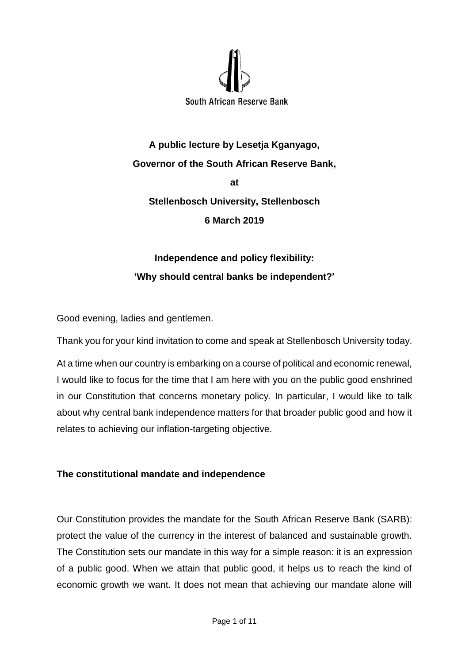

**A public lecture by Lesetja Kganyago, Governor of the South African Reserve Bank, at Stellenbosch University, Stellenbosch 6 March 2019**

# **Independence and policy flexibility: 'Why should central banks be independent?'**

Good evening, ladies and gentlemen.

Thank you for your kind invitation to come and speak at Stellenbosch University today.

At a time when our country is embarking on a course of political and economic renewal, I would like to focus for the time that I am here with you on the public good enshrined in our Constitution that concerns monetary policy. In particular, I would like to talk about why central bank independence matters for that broader public good and how it relates to achieving our inflation-targeting objective.

## **The constitutional mandate and independence**

Our Constitution provides the mandate for the South African Reserve Bank (SARB): protect the value of the currency in the interest of balanced and sustainable growth. The Constitution sets our mandate in this way for a simple reason: it is an expression of a public good. When we attain that public good, it helps us to reach the kind of economic growth we want. It does not mean that achieving our mandate alone will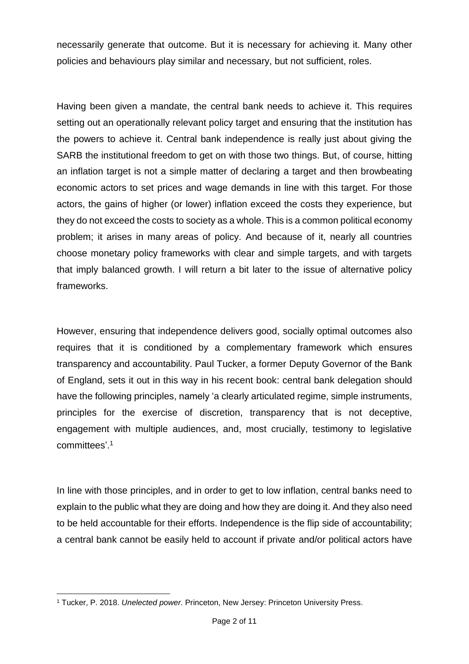necessarily generate that outcome. But it is necessary for achieving it. Many other policies and behaviours play similar and necessary, but not sufficient, roles.

Having been given a mandate, the central bank needs to achieve it. This requires setting out an operationally relevant policy target and ensuring that the institution has the powers to achieve it. Central bank independence is really just about giving the SARB the institutional freedom to get on with those two things. But, of course, hitting an inflation target is not a simple matter of declaring a target and then browbeating economic actors to set prices and wage demands in line with this target. For those actors, the gains of higher (or lower) inflation exceed the costs they experience, but they do not exceed the costs to society as a whole. This is a common political economy problem; it arises in many areas of policy. And because of it, nearly all countries choose monetary policy frameworks with clear and simple targets, and with targets that imply balanced growth. I will return a bit later to the issue of alternative policy frameworks.

However, ensuring that independence delivers good, socially optimal outcomes also requires that it is conditioned by a complementary framework which ensures transparency and accountability. Paul Tucker, a former Deputy Governor of the Bank of England, sets it out in this way in his recent book: central bank delegation should have the following principles, namely 'a clearly articulated regime, simple instruments, principles for the exercise of discretion, transparency that is not deceptive, engagement with multiple audiences, and, most crucially, testimony to legislative committees'.<sup>1</sup>

In line with those principles, and in order to get to low inflation, central banks need to explain to the public what they are doing and how they are doing it. And they also need to be held accountable for their efforts. Independence is the flip side of accountability; a central bank cannot be easily held to account if private and/or political actors have

**<sup>.</sup>** <sup>1</sup> Tucker, P. 2018. *Unelected power.* Princeton, New Jersey: Princeton University Press.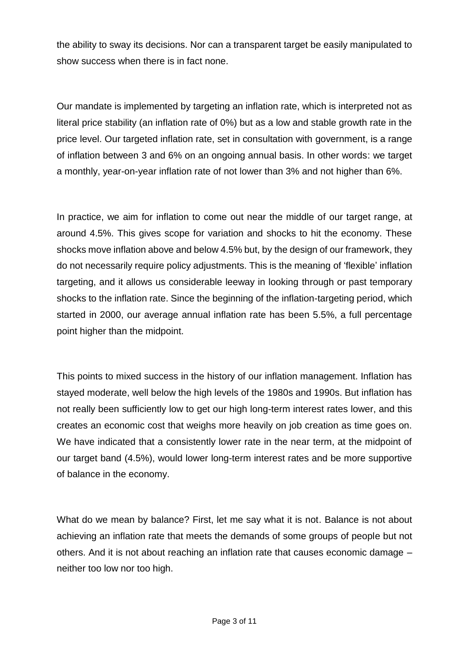the ability to sway its decisions. Nor can a transparent target be easily manipulated to show success when there is in fact none.

Our mandate is implemented by targeting an inflation rate, which is interpreted not as literal price stability (an inflation rate of 0%) but as a low and stable growth rate in the price level. Our targeted inflation rate, set in consultation with government, is a range of inflation between 3 and 6% on an ongoing annual basis. In other words: we target a monthly, year-on-year inflation rate of not lower than 3% and not higher than 6%.

In practice, we aim for inflation to come out near the middle of our target range, at around 4.5%. This gives scope for variation and shocks to hit the economy. These shocks move inflation above and below 4.5% but, by the design of our framework, they do not necessarily require policy adjustments. This is the meaning of 'flexible' inflation targeting, and it allows us considerable leeway in looking through or past temporary shocks to the inflation rate. Since the beginning of the inflation-targeting period, which started in 2000, our average annual inflation rate has been 5.5%, a full percentage point higher than the midpoint.

This points to mixed success in the history of our inflation management. Inflation has stayed moderate, well below the high levels of the 1980s and 1990s. But inflation has not really been sufficiently low to get our high long-term interest rates lower, and this creates an economic cost that weighs more heavily on job creation as time goes on. We have indicated that a consistently lower rate in the near term, at the midpoint of our target band (4.5%), would lower long-term interest rates and be more supportive of balance in the economy.

What do we mean by balance? First, let me say what it is not. Balance is not about achieving an inflation rate that meets the demands of some groups of people but not others. And it is not about reaching an inflation rate that causes economic damage – neither too low nor too high.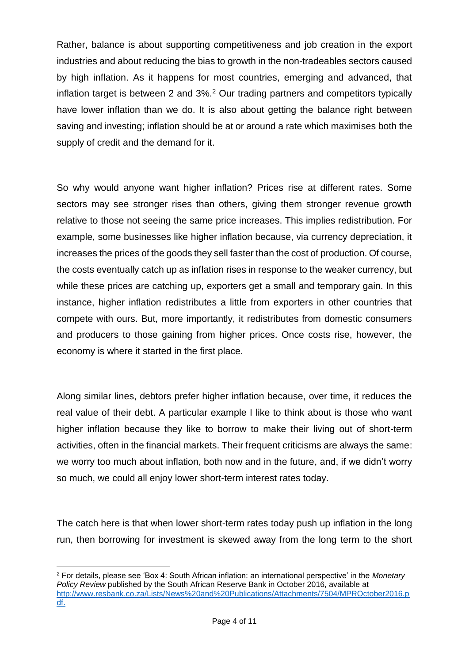Rather, balance is about supporting competitiveness and job creation in the export industries and about reducing the bias to growth in the non-tradeables sectors caused by high inflation. As it happens for most countries, emerging and advanced, that inflation target is between 2 and 3%.<sup>2</sup> Our trading partners and competitors typically have lower inflation than we do. It is also about getting the balance right between saving and investing; inflation should be at or around a rate which maximises both the supply of credit and the demand for it.

So why would anyone want higher inflation? Prices rise at different rates. Some sectors may see stronger rises than others, giving them stronger revenue growth relative to those not seeing the same price increases. This implies redistribution. For example, some businesses like higher inflation because, via currency depreciation, it increases the prices of the goods they sell faster than the cost of production. Of course, the costs eventually catch up as inflation rises in response to the weaker currency, but while these prices are catching up, exporters get a small and temporary gain. In this instance, higher inflation redistributes a little from exporters in other countries that compete with ours. But, more importantly, it redistributes from domestic consumers and producers to those gaining from higher prices. Once costs rise, however, the economy is where it started in the first place.

Along similar lines, debtors prefer higher inflation because, over time, it reduces the real value of their debt. A particular example I like to think about is those who want higher inflation because they like to borrow to make their living out of short-term activities, often in the financial markets. Their frequent criticisms are always the same: we worry too much about inflation, both now and in the future, and, if we didn't worry so much, we could all enjoy lower short-term interest rates today.

The catch here is that when lower short-term rates today push up inflation in the long run, then borrowing for investment is skewed away from the long term to the short

**<sup>.</sup>** <sup>2</sup> For details, please see 'Box 4: South African inflation: an international perspective' in the *Monetary Policy Review* published by the South African Reserve Bank in October 2016, available at [http://www.resbank.co.za/Lists/News%20and%20Publications/Attachments/7504/MPROctober2016.p](http://www.resbank.co.za/Lists/News%20and%20Publications/Attachments/7504/MPROctober2016.pdf) [df.](http://www.resbank.co.za/Lists/News%20and%20Publications/Attachments/7504/MPROctober2016.pdf)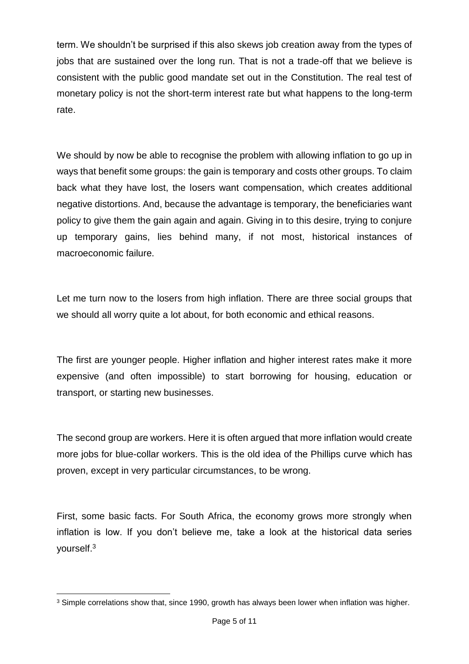term. We shouldn't be surprised if this also skews job creation away from the types of jobs that are sustained over the long run. That is not a trade-off that we believe is consistent with the public good mandate set out in the Constitution. The real test of monetary policy is not the short-term interest rate but what happens to the long-term rate.

We should by now be able to recognise the problem with allowing inflation to go up in ways that benefit some groups: the gain is temporary and costs other groups. To claim back what they have lost, the losers want compensation, which creates additional negative distortions. And, because the advantage is temporary, the beneficiaries want policy to give them the gain again and again. Giving in to this desire, trying to conjure up temporary gains, lies behind many, if not most, historical instances of macroeconomic failure.

Let me turn now to the losers from high inflation. There are three social groups that we should all worry quite a lot about, for both economic and ethical reasons.

The first are younger people. Higher inflation and higher interest rates make it more expensive (and often impossible) to start borrowing for housing, education or transport, or starting new businesses.

The second group are workers. Here it is often argued that more inflation would create more jobs for blue-collar workers. This is the old idea of the Phillips curve which has proven, except in very particular circumstances, to be wrong.

First, some basic facts. For South Africa, the economy grows more strongly when inflation is low. If you don't believe me, take a look at the historical data series yourself.<sup>3</sup>

**<sup>.</sup>** <sup>3</sup> Simple correlations show that, since 1990, growth has always been lower when inflation was higher.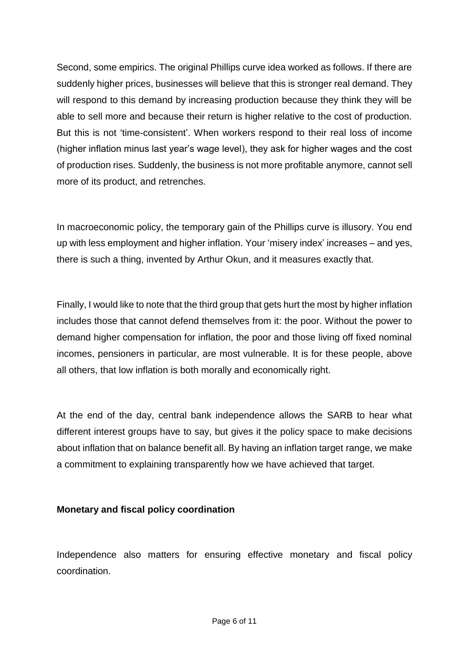Second, some empirics. The original Phillips curve idea worked as follows. If there are suddenly higher prices, businesses will believe that this is stronger real demand. They will respond to this demand by increasing production because they think they will be able to sell more and because their return is higher relative to the cost of production. But this is not 'time-consistent'. When workers respond to their real loss of income (higher inflation minus last year's wage level), they ask for higher wages and the cost of production rises. Suddenly, the business is not more profitable anymore, cannot sell more of its product, and retrenches.

In macroeconomic policy, the temporary gain of the Phillips curve is illusory. You end up with less employment and higher inflation. Your 'misery index' increases – and yes, there is such a thing, invented by Arthur Okun, and it measures exactly that.

Finally, I would like to note that the third group that gets hurt the most by higher inflation includes those that cannot defend themselves from it: the poor. Without the power to demand higher compensation for inflation, the poor and those living off fixed nominal incomes, pensioners in particular, are most vulnerable. It is for these people, above all others, that low inflation is both morally and economically right.

At the end of the day, central bank independence allows the SARB to hear what different interest groups have to say, but gives it the policy space to make decisions about inflation that on balance benefit all. By having an inflation target range, we make a commitment to explaining transparently how we have achieved that target.

## **Monetary and fiscal policy coordination**

Independence also matters for ensuring effective monetary and fiscal policy coordination.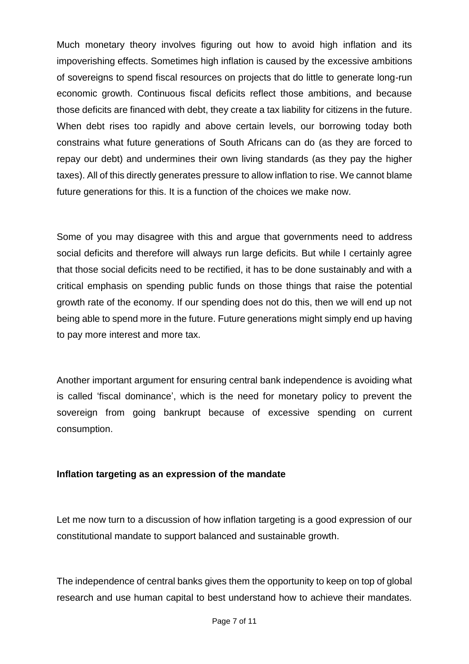Much monetary theory involves figuring out how to avoid high inflation and its impoverishing effects. Sometimes high inflation is caused by the excessive ambitions of sovereigns to spend fiscal resources on projects that do little to generate long-run economic growth. Continuous fiscal deficits reflect those ambitions, and because those deficits are financed with debt, they create a tax liability for citizens in the future. When debt rises too rapidly and above certain levels, our borrowing today both constrains what future generations of South Africans can do (as they are forced to repay our debt) and undermines their own living standards (as they pay the higher taxes). All of this directly generates pressure to allow inflation to rise. We cannot blame future generations for this. It is a function of the choices we make now.

Some of you may disagree with this and argue that governments need to address social deficits and therefore will always run large deficits. But while I certainly agree that those social deficits need to be rectified, it has to be done sustainably and with a critical emphasis on spending public funds on those things that raise the potential growth rate of the economy. If our spending does not do this, then we will end up not being able to spend more in the future. Future generations might simply end up having to pay more interest and more tax.

Another important argument for ensuring central bank independence is avoiding what is called 'fiscal dominance', which is the need for monetary policy to prevent the sovereign from going bankrupt because of excessive spending on current consumption.

## **Inflation targeting as an expression of the mandate**

Let me now turn to a discussion of how inflation targeting is a good expression of our constitutional mandate to support balanced and sustainable growth.

The independence of central banks gives them the opportunity to keep on top of global research and use human capital to best understand how to achieve their mandates.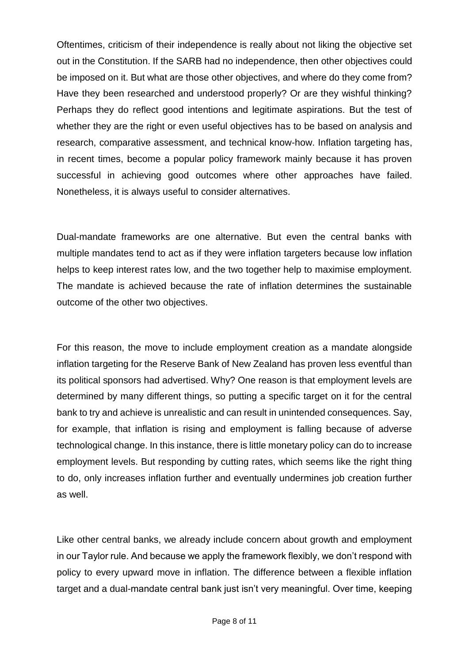Oftentimes, criticism of their independence is really about not liking the objective set out in the Constitution. If the SARB had no independence, then other objectives could be imposed on it. But what are those other objectives, and where do they come from? Have they been researched and understood properly? Or are they wishful thinking? Perhaps they do reflect good intentions and legitimate aspirations. But the test of whether they are the right or even useful objectives has to be based on analysis and research, comparative assessment, and technical know-how. Inflation targeting has, in recent times, become a popular policy framework mainly because it has proven successful in achieving good outcomes where other approaches have failed. Nonetheless, it is always useful to consider alternatives.

Dual-mandate frameworks are one alternative. But even the central banks with multiple mandates tend to act as if they were inflation targeters because low inflation helps to keep interest rates low, and the two together help to maximise employment. The mandate is achieved because the rate of inflation determines the sustainable outcome of the other two objectives.

For this reason, the move to include employment creation as a mandate alongside inflation targeting for the Reserve Bank of New Zealand has proven less eventful than its political sponsors had advertised. Why? One reason is that employment levels are determined by many different things, so putting a specific target on it for the central bank to try and achieve is unrealistic and can result in unintended consequences. Say, for example, that inflation is rising and employment is falling because of adverse technological change. In this instance, there is little monetary policy can do to increase employment levels. But responding by cutting rates, which seems like the right thing to do, only increases inflation further and eventually undermines job creation further as well.

Like other central banks, we already include concern about growth and employment in our Taylor rule. And because we apply the framework flexibly, we don't respond with policy to every upward move in inflation. The difference between a flexible inflation target and a dual-mandate central bank just isn't very meaningful. Over time, keeping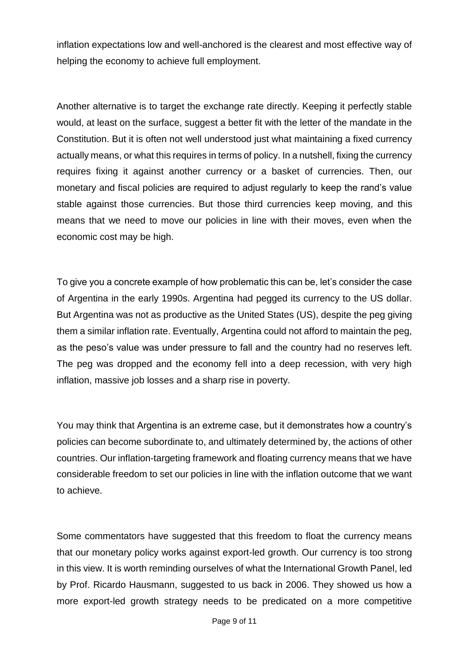inflation expectations low and well-anchored is the clearest and most effective way of helping the economy to achieve full employment.

Another alternative is to target the exchange rate directly. Keeping it perfectly stable would, at least on the surface, suggest a better fit with the letter of the mandate in the Constitution. But it is often not well understood just what maintaining a fixed currency actually means, or what this requires in terms of policy. In a nutshell, fixing the currency requires fixing it against another currency or a basket of currencies. Then, our monetary and fiscal policies are required to adjust regularly to keep the rand's value stable against those currencies. But those third currencies keep moving, and this means that we need to move our policies in line with their moves, even when the economic cost may be high.

To give you a concrete example of how problematic this can be, let's consider the case of Argentina in the early 1990s. Argentina had pegged its currency to the US dollar. But Argentina was not as productive as the United States (US), despite the peg giving them a similar inflation rate. Eventually, Argentina could not afford to maintain the peg, as the peso's value was under pressure to fall and the country had no reserves left. The peg was dropped and the economy fell into a deep recession, with very high inflation, massive job losses and a sharp rise in poverty.

You may think that Argentina is an extreme case, but it demonstrates how a country's policies can become subordinate to, and ultimately determined by, the actions of other countries. Our inflation-targeting framework and floating currency means that we have considerable freedom to set our policies in line with the inflation outcome that we want to achieve.

Some commentators have suggested that this freedom to float the currency means that our monetary policy works against export-led growth. Our currency is too strong in this view. It is worth reminding ourselves of what the International Growth Panel, led by Prof. Ricardo Hausmann, suggested to us back in 2006. They showed us how a more export-led growth strategy needs to be predicated on a more competitive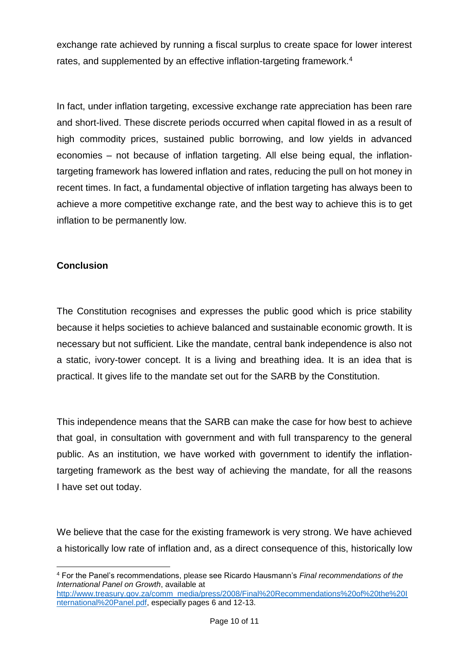exchange rate achieved by running a fiscal surplus to create space for lower interest rates, and supplemented by an effective inflation-targeting framework.<sup>4</sup>

In fact, under inflation targeting, excessive exchange rate appreciation has been rare and short-lived. These discrete periods occurred when capital flowed in as a result of high commodity prices, sustained public borrowing, and low yields in advanced economies – not because of inflation targeting. All else being equal, the inflationtargeting framework has lowered inflation and rates, reducing the pull on hot money in recent times. In fact, a fundamental objective of inflation targeting has always been to achieve a more competitive exchange rate, and the best way to achieve this is to get inflation to be permanently low.

## **Conclusion**

The Constitution recognises and expresses the public good which is price stability because it helps societies to achieve balanced and sustainable economic growth. It is necessary but not sufficient. Like the mandate, central bank independence is also not a static, ivory-tower concept. It is a living and breathing idea. It is an idea that is practical. It gives life to the mandate set out for the SARB by the Constitution.

This independence means that the SARB can make the case for how best to achieve that goal, in consultation with government and with full transparency to the general public. As an institution, we have worked with government to identify the inflationtargeting framework as the best way of achieving the mandate, for all the reasons I have set out today.

We believe that the case for the existing framework is very strong. We have achieved a historically low rate of inflation and, as a direct consequence of this, historically low

**<sup>.</sup>** <sup>4</sup> For the Panel's recommendations, please see Ricardo Hausmann's *Final recommendations of the International Panel on Growth*, available at

[http://www.treasury.gov.za/comm\\_media/press/2008/Final%20Recommendations%20of%20the%20I](http://www.treasury.gov.za/comm_media/press/2008/Final%20Recommendations%20of%20the%20International%20Panel.pdf) [nternational%20Panel.pdf,](http://www.treasury.gov.za/comm_media/press/2008/Final%20Recommendations%20of%20the%20International%20Panel.pdf) especially pages 6 and 12-13.